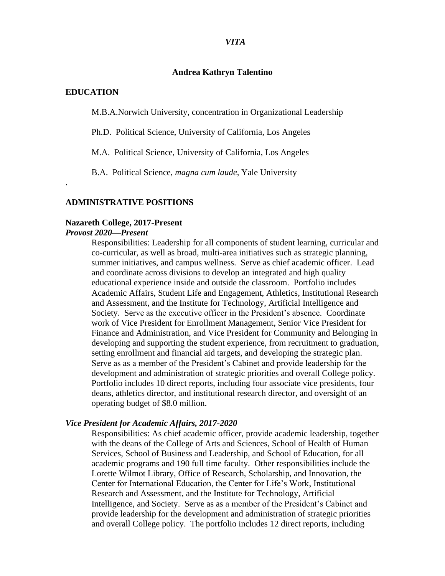#### *VITA*

#### **Andrea Kathryn Talentino**

#### **EDUCATION**

.

M.B.A.Norwich University, concentration in Organizational Leadership

Ph.D. Political Science, University of California, Los Angeles

M.A. Political Science, University of California, Los Angeles

B.A. Political Science, *magna cum laude,* Yale University

#### **ADMINISTRATIVE POSITIONS**

#### **Nazareth College, 2017-Present**

### *Provost 2020—Present*

Responsibilities: Leadership for all components of student learning, curricular and co-curricular, as well as broad, multi-area initiatives such as strategic planning, summer initiatives, and campus wellness. Serve as chief academic officer. Lead and coordinate across divisions to develop an integrated and high quality educational experience inside and outside the classroom. Portfolio includes Academic Affairs, Student Life and Engagement, Athletics, Institutional Research and Assessment, and the Institute for Technology, Artificial Intelligence and Society. Serve as the executive officer in the President's absence. Coordinate work of Vice President for Enrollment Management, Senior Vice President for Finance and Administration, and Vice President for Community and Belonging in developing and supporting the student experience, from recruitment to graduation, setting enrollment and financial aid targets, and developing the strategic plan. Serve as as a member of the President's Cabinet and provide leadership for the development and administration of strategic priorities and overall College policy. Portfolio includes 10 direct reports, including four associate vice presidents, four deans, athletics director, and institutional research director, and oversight of an operating budget of \$8.0 million.

#### *Vice President for Academic Affairs, 2017-2020*

Responsibilities: As chief academic officer, provide academic leadership, together with the deans of the College of Arts and Sciences, School of Health of Human Services, School of Business and Leadership, and School of Education, for all academic programs and 190 full time faculty. Other responsibilities include the Lorette Wilmot Library, Office of Research, Scholarship, and Innovation, the Center for International Education, the Center for Life's Work, Institutional Research and Assessment, and the Institute for Technology, Artificial Intelligence, and Society. Serve as as a member of the President's Cabinet and provide leadership for the development and administration of strategic priorities and overall College policy. The portfolio includes 12 direct reports, including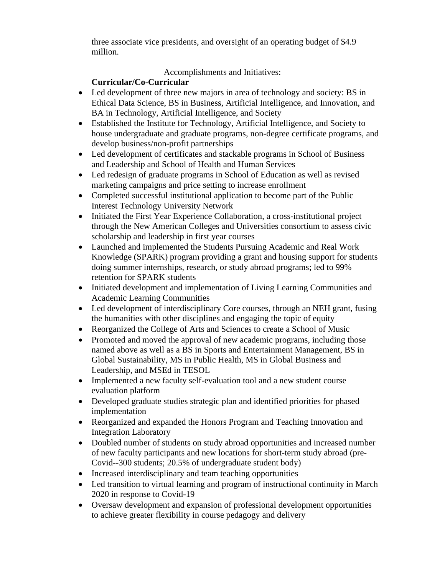three associate vice presidents, and oversight of an operating budget of \$4.9 million.

# Accomplishments and Initiatives:

# **Curricular/Co-Curricular**

- Led development of three new majors in area of technology and society: BS in Ethical Data Science, BS in Business, Artificial Intelligence, and Innovation, and BA in Technology, Artificial Intelligence, and Society
- Established the Institute for Technology, Artificial Intelligence, and Society to house undergraduate and graduate programs, non-degree certificate programs, and develop business/non-profit partnerships
- Led development of certificates and stackable programs in School of Business and Leadership and School of Health and Human Services
- Led redesign of graduate programs in School of Education as well as revised marketing campaigns and price setting to increase enrollment
- Completed successful institutional application to become part of the Public Interest Technology University Network
- Initiated the First Year Experience Collaboration, a cross-institutional project through the New American Colleges and Universities consortium to assess civic scholarship and leadership in first year courses
- Launched and implemented the Students Pursuing Academic and Real Work Knowledge (SPARK) program providing a grant and housing support for students doing summer internships, research, or study abroad programs; led to 99% retention for SPARK students
- Initiated development and implementation of Living Learning Communities and Academic Learning Communities
- Led development of interdisciplinary Core courses, through an NEH grant, fusing the humanities with other disciplines and engaging the topic of equity
- Reorganized the College of Arts and Sciences to create a School of Music
- Promoted and moved the approval of new academic programs, including those named above as well as a BS in Sports and Entertainment Management, BS in Global Sustainability, MS in Public Health, MS in Global Business and Leadership, and MSEd in TESOL
- Implemented a new faculty self-evaluation tool and a new student course evaluation platform
- Developed graduate studies strategic plan and identified priorities for phased implementation
- Reorganized and expanded the Honors Program and Teaching Innovation and Integration Laboratory
- Doubled number of students on study abroad opportunities and increased number of new faculty participants and new locations for short-term study abroad (pre-Covid--300 students; 20.5% of undergraduate student body)
- Increased interdisciplinary and team teaching opportunities
- Led transition to virtual learning and program of instructional continuity in March 2020 in response to Covid-19
- Oversaw development and expansion of professional development opportunities to achieve greater flexibility in course pedagogy and delivery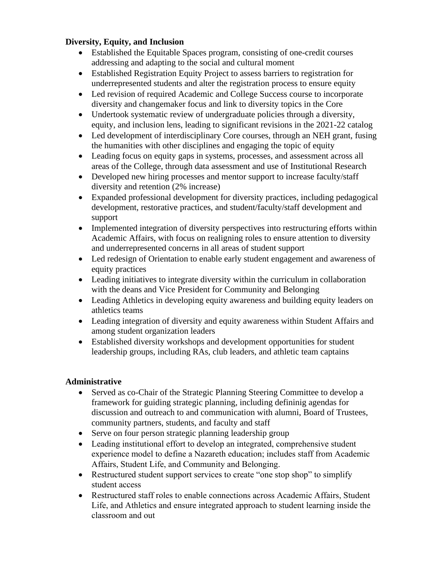## **Diversity, Equity, and Inclusion**

- Established the Equitable Spaces program, consisting of one-credit courses addressing and adapting to the social and cultural moment
- Established Registration Equity Project to assess barriers to registration for underrepresented students and alter the registration process to ensure equity
- Led revision of required Academic and College Success course to incorporate diversity and changemaker focus and link to diversity topics in the Core
- Undertook systematic review of undergraduate policies through a diversity, equity, and inclusion lens, leading to significant revisions in the 2021-22 catalog
- Led development of interdisciplinary Core courses, through an NEH grant, fusing the humanities with other disciplines and engaging the topic of equity
- Leading focus on equity gaps in systems, processes, and assessment across all areas of the College, through data assessment and use of Institutional Research
- Developed new hiring processes and mentor support to increase faculty/staff diversity and retention (2% increase)
- Expanded professional development for diversity practices, including pedagogical development, restorative practices, and student/faculty/staff development and support
- Implemented integration of diversity perspectives into restructuring efforts within Academic Affairs, with focus on realigning roles to ensure attention to diversity and underrepresented concerns in all areas of student support
- Led redesign of Orientation to enable early student engagement and awareness of equity practices
- Leading initiatives to integrate diversity within the curriculum in collaboration with the deans and Vice President for Community and Belonging
- Leading Athletics in developing equity awareness and building equity leaders on athletics teams
- Leading integration of diversity and equity awareness within Student Affairs and among student organization leaders
- Established diversity workshops and development opportunities for student leadership groups, including RAs, club leaders, and athletic team captains

## **Administrative**

- Served as co-Chair of the Strategic Planning Steering Committee to develop a framework for guiding strategic planning, including defininig agendas for discussion and outreach to and communication with alumni, Board of Trustees, community partners, students, and faculty and staff
- Serve on four person strategic planning leadership group
- Leading institutional effort to develop an integrated, comprehensive student experience model to define a Nazareth education; includes staff from Academic Affairs, Student Life, and Community and Belonging.
- Restructured student support services to create "one stop shop" to simplify student access
- Restructured staff roles to enable connections across Academic Affairs, Student Life, and Athletics and ensure integrated approach to student learning inside the classroom and out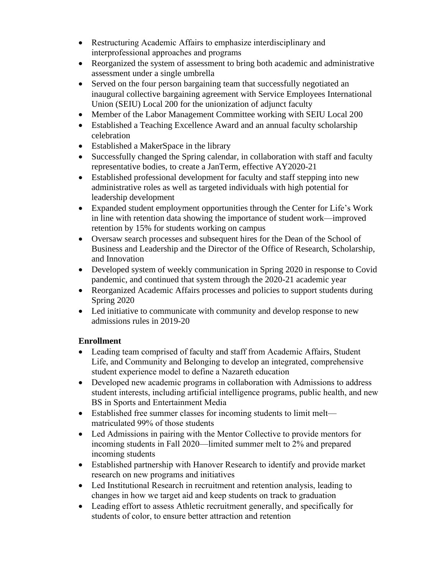- Restructuring Academic Affairs to emphasize interdisciplinary and interprofessional approaches and programs
- Reorganized the system of assessment to bring both academic and administrative assessment under a single umbrella
- Served on the four person bargaining team that successfully negotiated an inaugural collective bargaining agreement with Service Employees International Union (SEIU) Local 200 for the unionization of adjunct faculty
- Member of the Labor Management Committee working with SEIU Local 200
- Established a Teaching Excellence Award and an annual faculty scholarship celebration
- Established a MakerSpace in the library
- Successfully changed the Spring calendar, in collaboration with staff and faculty representative bodies, to create a JanTerm, effective AY2020-21
- Established professional development for faculty and staff stepping into new administrative roles as well as targeted individuals with high potential for leadership development
- Expanded student employment opportunities through the Center for Life's Work in line with retention data showing the importance of student work—improved retention by 15% for students working on campus
- Oversaw search processes and subsequent hires for the Dean of the School of Business and Leadership and the Director of the Office of Research, Scholarship, and Innovation
- Developed system of weekly communication in Spring 2020 in response to Covid pandemic, and continued that system through the 2020-21 academic year
- Reorganized Academic Affairs processes and policies to support students during Spring 2020
- Led initiative to communicate with community and develop response to new admissions rules in 2019-20

# **Enrollment**

- Leading team comprised of faculty and staff from Academic Affairs, Student Life, and Community and Belonging to develop an integrated, comprehensive student experience model to define a Nazareth education
- Developed new academic programs in collaboration with Admissions to address student interests, including artificial intelligence programs, public health, and new BS in Sports and Entertainment Media
- Established free summer classes for incoming students to limit melt matriculated 99% of those students
- Led Admissions in pairing with the Mentor Collective to provide mentors for incoming students in Fall 2020—limited summer melt to 2% and prepared incoming students
- Established partnership with Hanover Research to identify and provide market research on new programs and initiatives
- Led Institutional Research in recruitment and retention analysis, leading to changes in how we target aid and keep students on track to graduation
- Leading effort to assess Athletic recruitment generally, and specifically for students of color, to ensure better attraction and retention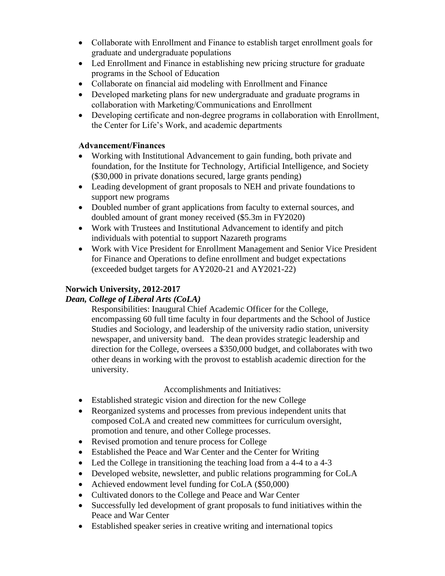- Collaborate with Enrollment and Finance to establish target enrollment goals for graduate and undergraduate populations
- Led Enrollment and Finance in establishing new pricing structure for graduate programs in the School of Education
- Collaborate on financial aid modeling with Enrollment and Finance
- Developed marketing plans for new undergraduate and graduate programs in collaboration with Marketing/Communications and Enrollment
- Developing certificate and non-degree programs in collaboration with Enrollment, the Center for Life's Work, and academic departments

# **Advancement/Finances**

- Working with Institutional Advancement to gain funding, both private and foundation, for the Institute for Technology, Artificial Intelligence, and Society (\$30,000 in private donations secured, large grants pending)
- Leading development of grant proposals to NEH and private foundations to support new programs
- Doubled number of grant applications from faculty to external sources, and doubled amount of grant money received (\$5.3m in FY2020)
- Work with Trustees and Institutional Advancement to identify and pitch individuals with potential to support Nazareth programs
- Work with Vice President for Enrollment Management and Senior Vice President for Finance and Operations to define enrollment and budget expectations (exceeded budget targets for AY2020-21 and AY2021-22)

# **Norwich University, 2012-2017**

# *Dean, College of Liberal Arts (CoLA)*

Responsibilities: Inaugural Chief Academic Officer for the College, encompassing 60 full time faculty in four departments and the School of Justice Studies and Sociology, and leadership of the university radio station, university newspaper, and university band. The dean provides strategic leadership and direction for the College, oversees a \$350,000 budget, and collaborates with two other deans in working with the provost to establish academic direction for the university.

# Accomplishments and Initiatives:

- Established strategic vision and direction for the new College
- Reorganized systems and processes from previous independent units that composed CoLA and created new committees for curriculum oversight, promotion and tenure, and other College processes.
- Revised promotion and tenure process for College
- Established the Peace and War Center and the Center for Writing
- Led the College in transitioning the teaching load from a 4-4 to a 4-3
- Developed website, newsletter, and public relations programming for CoLA
- Achieved endowment level funding for CoLA (\$50,000)
- Cultivated donors to the College and Peace and War Center
- Successfully led development of grant proposals to fund initiatives within the Peace and War Center
- Established speaker series in creative writing and international topics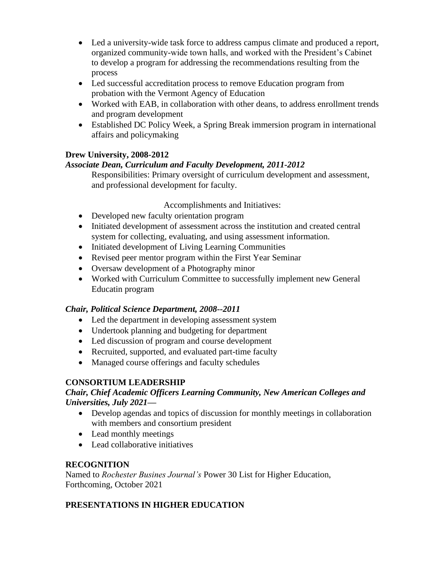- Led a university-wide task force to address campus climate and produced a report, organized community-wide town halls, and worked with the President's Cabinet to develop a program for addressing the recommendations resulting from the process
- Led successful accreditation process to remove Education program from probation with the Vermont Agency of Education
- Worked with EAB, in collaboration with other deans, to address enrollment trends and program development
- Established DC Policy Week, a Spring Break immersion program in international affairs and policymaking

# **Drew University, 2008-2012**

# *Associate Dean, Curriculum and Faculty Development, 2011-2012*

Responsibilities: Primary oversight of curriculum development and assessment, and professional development for faculty.

### Accomplishments and Initiatives:

- Developed new faculty orientation program
- Initiated development of assessment across the institution and created central system for collecting, evaluating, and using assessment information.
- Initiated development of Living Learning Communities
- Revised peer mentor program within the First Year Seminar
- Oversaw development of a Photography minor
- Worked with Curriculum Committee to successfully implement new General Educatin program

## *Chair, Political Science Department, 2008--2011*

- Led the department in developing assessment system
- Undertook planning and budgeting for department
- Led discussion of program and course development
- Recruited, supported, and evaluated part-time faculty
- Managed course offerings and faculty schedules

# **CONSORTIUM LEADERSHIP**

## *Chair, Chief Academic Officers Learning Community, New American Colleges and Universities, July 2021—*

- Develop agendas and topics of discussion for monthly meetings in collaboration with members and consortium president
- Lead monthly meetings
- Lead collaborative initiatives

# **RECOGNITION**

Named to *Rochester Busines Journal's* Power 30 List for Higher Education, Forthcoming, October 2021

# **PRESENTATIONS IN HIGHER EDUCATION**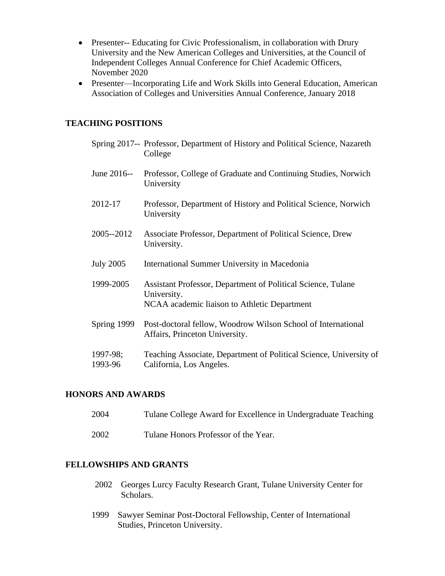- Presenter-- Educating for Civic Professionalism, in collaboration with Drury University and the New American Colleges and Universities, at the Council of Independent Colleges Annual Conference for Chief Academic Officers, November 2020
- Presenter—Incorporating Life and Work Skills into General Education, American Association of Colleges and Universities Annual Conference, January 2018

### **TEACHING POSITIONS**

|                     | Spring 2017-- Professor, Department of History and Political Science, Nazareth<br>College                                   |
|---------------------|-----------------------------------------------------------------------------------------------------------------------------|
| June 2016--         | Professor, College of Graduate and Continuing Studies, Norwich<br>University                                                |
| 2012-17             | Professor, Department of History and Political Science, Norwich<br>University                                               |
| 2005--2012          | Associate Professor, Department of Political Science, Drew<br>University.                                                   |
| <b>July 2005</b>    | International Summer University in Macedonia                                                                                |
| 1999-2005           | Assistant Professor, Department of Political Science, Tulane<br>University.<br>NCAA academic liaison to Athletic Department |
| Spring 1999         | Post-doctoral fellow, Woodrow Wilson School of International<br>Affairs, Princeton University.                              |
| 1997-98;<br>1993-96 | Teaching Associate, Department of Political Science, University of<br>California, Los Angeles.                              |

## **HONORS AND AWARDS**

| 2004 | Tulane College Award for Excellence in Undergraduate Teaching |
|------|---------------------------------------------------------------|
| 2002 | Tulane Honors Professor of the Year.                          |

# **FELLOWSHIPS AND GRANTS**

- 2002 Georges Lurcy Faculty Research Grant, Tulane University Center for Scholars.
- 1999 Sawyer Seminar Post-Doctoral Fellowship, Center of International Studies, Princeton University.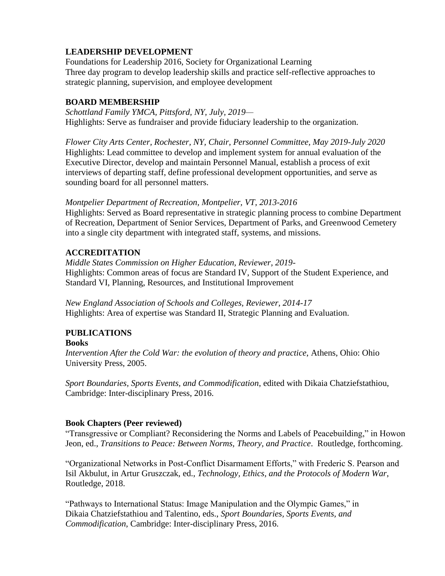# **LEADERSHIP DEVELOPMENT**

Foundations for Leadership 2016, Society for Organizational Learning Three day program to develop leadership skills and practice self-reflective approaches to strategic planning, supervision, and employee development

## **BOARD MEMBERSHIP**

*Schottland Family YMCA, Pittsford, NY, July, 2019—* Highlights: Serve as fundraiser and provide fiduciary leadership to the organization.

*Flower City Arts Center, Rochester, NY, Chair, Personnel Committee, May 2019-July 2020* Highlights: Lead committee to develop and implement system for annual evaluation of the Executive Director, develop and maintain Personnel Manual, establish a process of exit interviews of departing staff, define professional development opportunities, and serve as sounding board for all personnel matters.

### *Montpelier Department of Recreation, Montpelier, VT, 2013-2016*

Highlights: Served as Board representative in strategic planning process to combine Department of Recreation, Department of Senior Services, Department of Parks, and Greenwood Cemetery into a single city department with integrated staff, systems, and missions.

# **ACCREDITATION**

*Middle States Commission on Higher Education, Reviewer, 2019-* Highlights: Common areas of focus are Standard IV, Support of the Student Experience, and Standard VI, Planning, Resources, and Institutional Improvement

*New England Association of Schools and Colleges, Reviewer, 2014-17* Highlights: Area of expertise was Standard II, Strategic Planning and Evaluation.

#### **PUBLICATIONS Books**

*Intervention After the Cold War: the evolution of theory and practice*, Athens, Ohio: Ohio University Press, 2005.

*Sport Boundaries, Sports Events, and Commodification*, edited with Dikaia Chatziefstathiou, Cambridge: Inter-disciplinary Press, 2016.

## **Book Chapters (Peer reviewed)**

"Transgressive or Compliant? Reconsidering the Norms and Labels of Peacebuilding," in Howon Jeon, ed., *Transitions to Peace: Between Norms, Theory, and Practice*. Routledge, forthcoming.

"Organizational Networks in Post-Conflict Disarmament Efforts," with Frederic S. Pearson and Isil Akbulut, in Artur Gruszczak, ed., *Technology, Ethics, and the Protocols of Modern War*, Routledge, 2018.

"Pathways to International Status: Image Manipulation and the Olympic Games," in Dikaia Chatziefstathiou and Talentino, eds., *Sport Boundaries, Sports Events, and Commodification*, Cambridge: Inter-disciplinary Press, 2016.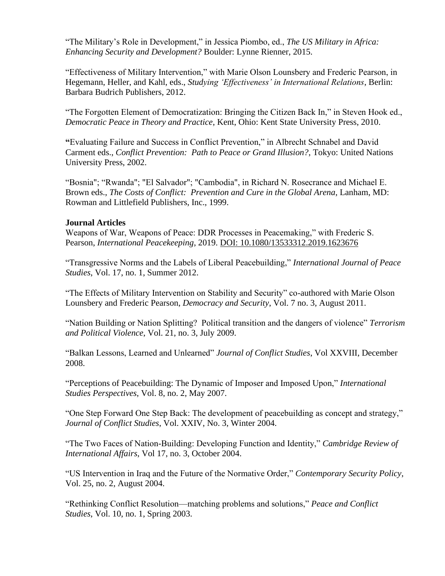"The Military's Role in Development," in Jessica Piombo, ed., *The US Military in Africa: Enhancing Security and Development?* Boulder: Lynne Rienner, 2015.

"Effectiveness of Military Intervention," with Marie Olson Lounsbery and Frederic Pearson, in Hegemann, Heller, and Kahl, eds., *Studying 'Effectiveness' in International Relations*, Berlin: Barbara Budrich Publishers, 2012.

"The Forgotten Element of Democratization: Bringing the Citizen Back In," in Steven Hook ed., *Democratic Peace in Theory and Practice*, Kent, Ohio: Kent State University Press, 2010.

**"**Evaluating Failure and Success in Conflict Prevention," in Albrecht Schnabel and David Carment eds., *Conflict Prevention: Path to Peace or Grand Illusion?*, Tokyo: United Nations University Press, 2002.

"Bosnia"; "Rwanda"; "El Salvador"; "Cambodia", in Richard N. Rosecrance and Michael E. Brown eds., *The Costs of Conflict: Prevention and Cure in the Global Arena*, Lanham, MD: Rowman and Littlefield Publishers, Inc., 1999.

### **Journal Articles**

Weapons of War, Weapons of Peace: DDR Processes in Peacemaking," with Frederic S. Pearson, *International Peacekeeping*, 2019. [DOI: 10.1080/13533312.2019.1623676](https://doi.org/10.1080/13533312.2019.1623676)

"Transgressive Norms and the Labels of Liberal Peacebuilding," *International Journal of Peace Studies*, Vol. 17, no. 1, Summer 2012.

"The Effects of Military Intervention on Stability and Security" co-authored with Marie Olson Lounsbery and Frederic Pearson, *Democracy and Security*, Vol. 7 no. 3, August 2011.

"Nation Building or Nation Splitting? Political transition and the dangers of violence" *Terrorism and Political Violence*, Vol. 21, no. 3, July 2009.

"Balkan Lessons, Learned and Unlearned" *Journal of Conflict Studies*, Vol XXVIII, December 2008.

"Perceptions of Peacebuilding: The Dynamic of Imposer and Imposed Upon," *International Studies Perspectives*, Vol. 8, no. 2, May 2007.

"One Step Forward One Step Back: The development of peacebuilding as concept and strategy," *Journal of Conflict Studies*, Vol. XXIV, No. 3, Winter 2004.

"The Two Faces of Nation-Building: Developing Function and Identity," *Cambridge Review of International Affairs*, Vol 17, no. 3, October 2004.

"US Intervention in Iraq and the Future of the Normative Order," *Contemporary Security Policy*, Vol. 25, no. 2, August 2004.

"Rethinking Conflict Resolution—matching problems and solutions," *Peace and Conflict Studies*, Vol. 10, no. 1, Spring 2003.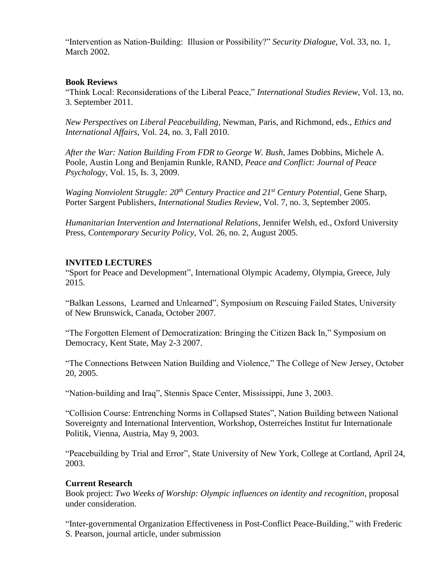"Intervention as Nation-Building: Illusion or Possibility?" *Security Dialogue*, Vol. 33, no. 1, March 2002.

### **Book Reviews**

"Think Local: Reconsiderations of the Liberal Peace," *International Studies Review*, Vol. 13, no. 3. September 2011.

*New Perspectives on Liberal Peacebuilding*, Newman, Paris, and Richmond, eds., *Ethics and International Affairs*, Vol. 24, no. 3, Fall 2010.

*After the War: Nation Building From FDR to George W. Bush*, James Dobbins, Michele A. Poole, Austin Long and Benjamin Runkle, RAND, *Peace and Conflict: Journal of Peace Psychology*, Vol. 15, Is. 3, 2009.

*Waging Nonviolent Struggle: 20th Century Practice and 21st Century Potential*, Gene Sharp, Porter Sargent Publishers, *International Studies Review*, Vol. 7, no. 3, September 2005.

*Humanitarian Intervention and International Relations*, Jennifer Welsh, ed., Oxford University Press, *Contemporary Security Policy*, Vol. 26, no. 2, August 2005.

### **INVITED LECTURES**

"Sport for Peace and Development", International Olympic Academy, Olympia, Greece, July 2015.

"Balkan Lessons, Learned and Unlearned", Symposium on Rescuing Failed States, University of New Brunswick, Canada, October 2007.

"The Forgotten Element of Democratization: Bringing the Citizen Back In," Symposium on Democracy, Kent State, May 2-3 2007.

"The Connections Between Nation Building and Violence," The College of New Jersey, October 20, 2005.

"Nation-building and Iraq", Stennis Space Center, Mississippi, June 3, 2003.

"Collision Course: Entrenching Norms in Collapsed States", Nation Building between National Sovereignty and International Intervention, Workshop, Osterreiches Institut fur Internationale Politik, Vienna, Austria, May 9, 2003.

"Peacebuilding by Trial and Error", State University of New York, College at Cortland, April 24, 2003.

### **Current Research**

Book project: *Two Weeks of Worship: Olympic influences on identity and recognition*, proposal under consideration.

"Inter-governmental Organization Effectiveness in Post-Conflict Peace-Building," with Frederic S. Pearson, journal article, under submission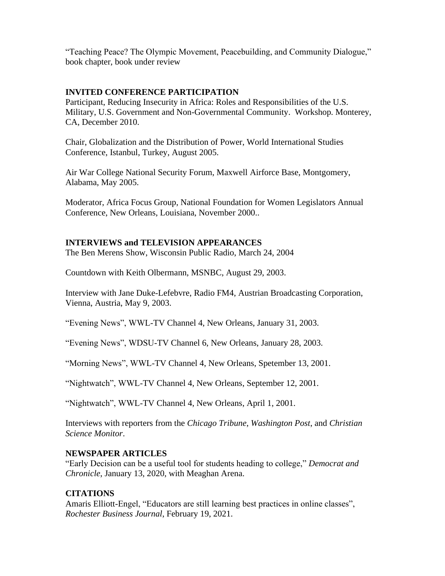"Teaching Peace? The Olympic Movement, Peacebuilding, and Community Dialogue," book chapter, book under review

## **INVITED CONFERENCE PARTICIPATION**

Participant, Reducing Insecurity in Africa: Roles and Responsibilities of the U.S. Military, U.S. Government and Non-Governmental Community. Workshop. Monterey, CA, December 2010.

Chair, Globalization and the Distribution of Power, World International Studies Conference, Istanbul, Turkey, August 2005.

Air War College National Security Forum, Maxwell Airforce Base, Montgomery, Alabama, May 2005.

Moderator, Africa Focus Group, National Foundation for Women Legislators Annual Conference, New Orleans, Louisiana, November 2000..

## **INTERVIEWS and TELEVISION APPEARANCES**

The Ben Merens Show, Wisconsin Public Radio, March 24, 2004

Countdown with Keith Olbermann, MSNBC, August 29, 2003.

Interview with Jane Duke-Lefebvre, Radio FM4, Austrian Broadcasting Corporation, Vienna, Austria, May 9, 2003.

"Evening News", WWL-TV Channel 4, New Orleans, January 31, 2003.

"Evening News", WDSU-TV Channel 6, New Orleans, January 28, 2003.

"Morning News", WWL-TV Channel 4, New Orleans, Spetember 13, 2001.

"Nightwatch", WWL-TV Channel 4, New Orleans, September 12, 2001.

"Nightwatch", WWL-TV Channel 4, New Orleans, April 1, 2001.

Interviews with reporters from the *Chicago Tribune*, *Washington Post*, and *Christian Science Monitor*.

### **NEWSPAPER ARTICLES**

"Early Decision can be a useful tool for students heading to college," *Democrat and Chronicle*, January 13, 2020, with Meaghan Arena.

## **CITATIONS**

Amaris Elliott-Engel, "Educators are still learning best practices in online classes", *Rochester Business Journal*, February 19, 2021.